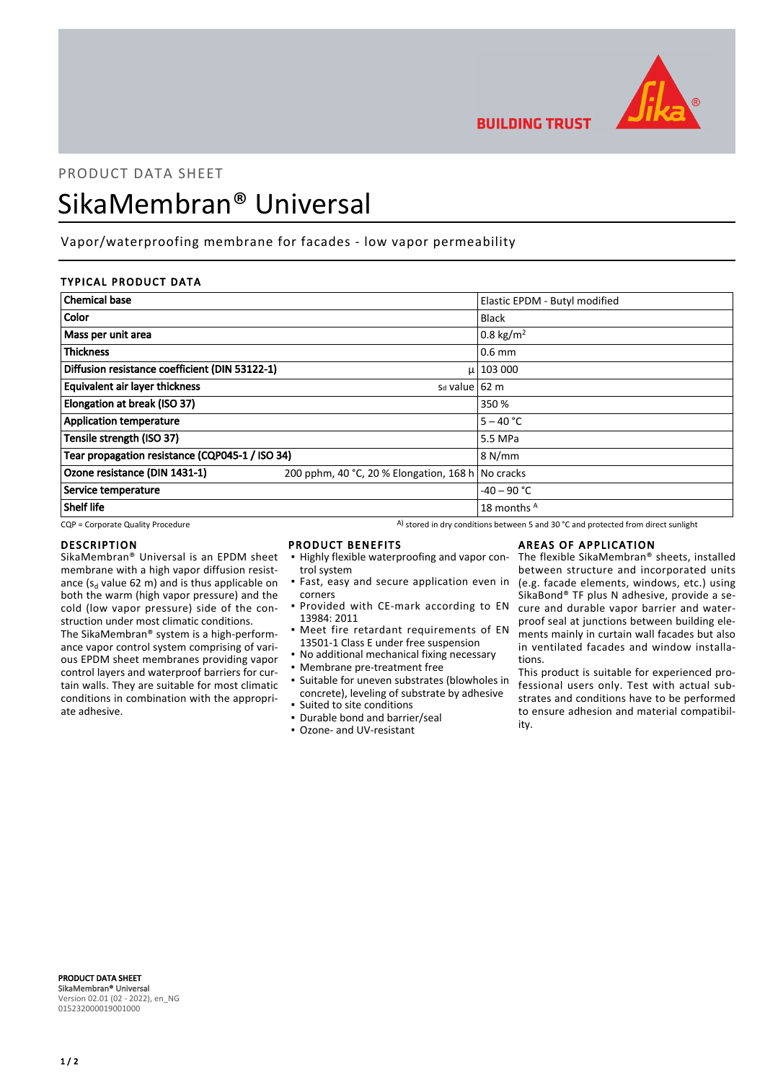

**BUILDING TRUST** 

# PRODUCT DATA SHEET SikaMembran® Universal

# Vapor/waterproofing membrane for facades - low vapor permeability

## TYPICAL PRODUCT DATA

| <b>Chemical base</b>                            |                                                   | Elastic EPDM - Butyl modified |
|-------------------------------------------------|---------------------------------------------------|-------------------------------|
| <b>Color</b>                                    |                                                   | <b>Black</b>                  |
| Mass per unit area                              |                                                   | 0.8 kg/m <sup>2</sup>         |
| <b>Thickness</b>                                |                                                   | $0.6$ mm                      |
| Diffusion resistance coefficient (DIN 53122-1)  |                                                   | $\mu$   103 000               |
| <b>Equivalent air layer thickness</b>           | s <sub>d</sub> value 62 m                         |                               |
| Elongation at break (ISO 37)                    |                                                   | 350 %                         |
| <b>Application temperature</b>                  |                                                   | $5 - 40 °C$                   |
| Tensile strength (ISO 37)                       |                                                   | 5.5 MPa                       |
| Tear propagation resistance (CQP045-1 / ISO 34) |                                                   | 8 N/mm                        |
| Ozone resistance (DIN 1431-1)                   | 200 pphm, 40 °C, 20 % Elongation, 168 h No cracks |                               |
| Service temperature                             |                                                   | $-40 - 90$ °C                 |
| Shelf life                                      |                                                   | 18 months A                   |

 $CQP$  = Corporate Quality Procedure  $A)$  stored in dry conditions between 5 and 30 °C and protected from direct sunlight

#### DESCRIPTION

SikaMembran® Universal is an EPDM sheet membrane with a high vapor diffusion resistance ( $s_d$  value 62 m) and is thus applicable on both the warm (high vapor pressure) and the cold (low vapor pressure) side of the construction under most climatic conditions.

The SikaMembran® system is a high-performance vapor control system comprising of various EPDM sheet membranes providing vapor control layers and waterproof barriers for curtain walls. They are suitable for most climatic conditions in combination with the appropriate adhesive.

#### PRODUCT BENEFITS

- **.** Highly flexible waterproofing and vapor control system
- **·** Fast, easy and secure application even in corners
- **Provided with CE-mark according to EN** 13984: 2011
- **•** Meet fire retardant requirements of EN 13501-1 Class E under free suspension
- No additional mechanical fixing necessary
- Membrane pre-treatment free
- Suitable for uneven substrates (blowholes in concrete), leveling of substrate by adhesive ▪ Suited to site conditions
- Durable bond and barrier/seal
- Ozone- and UV-resistant

# AREAS OF APPLICATION

The flexible SikaMembran® sheets, installed between structure and incorporated units (e.g. facade elements, windows, etc.) using SikaBond® TF plus N adhesive, provide a secure and durable vapor barrier and waterproof seal at junctions between building elements mainly in curtain wall facades but also in ventilated facades and window installations.

This product is suitable for experienced professional users only. Test with actual substrates and conditions have to be performed to ensure adhesion and material compatibility.

PRODUCT DATA SHEET SikaMembran® Universal Version 02.01 (02 - 2022), en\_NG 015232000019001000